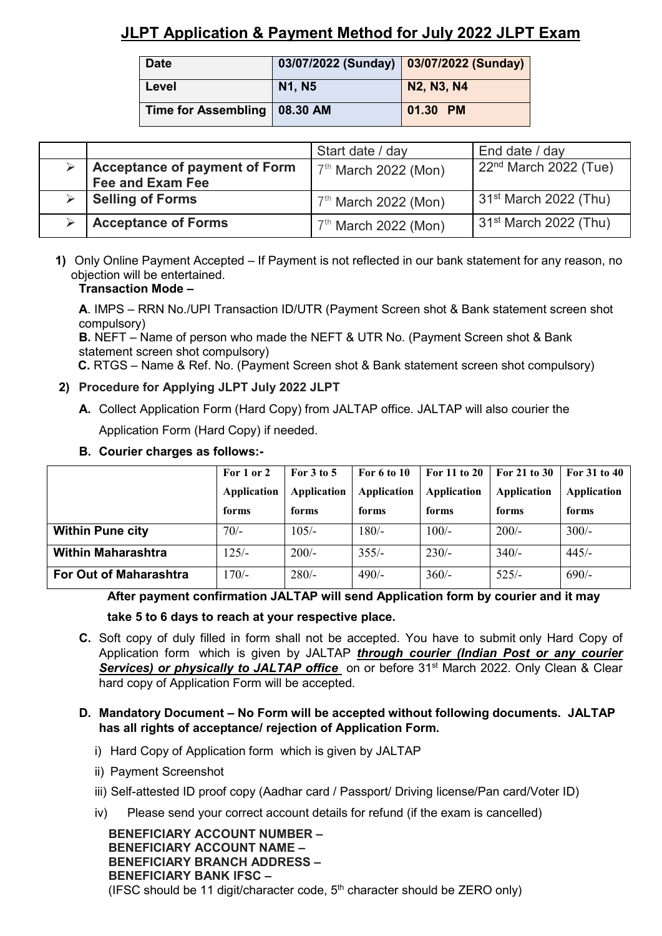# **JLPT Application & Payment Method for July 2022 JLPT Exam**

| <b>Date</b>                    | 03/07/2022 (Sunday) 03/07/2022 (Sunday) |                   |
|--------------------------------|-----------------------------------------|-------------------|
| Level                          | N <sub>1</sub> , N <sub>5</sub>         | <b>N2, N3, N4</b> |
| Time for Assembling   08.30 AM |                                         | 01.30 PM          |

|                                                                 | Start date / day       | End date / day                    |
|-----------------------------------------------------------------|------------------------|-----------------------------------|
| <b>Acceptance of payment of Form</b><br><b>Fee and Exam Fee</b> | $7th$ March 2022 (Mon) | 22 <sup>nd</sup> March 2022 (Tue) |
| <b>Selling of Forms</b>                                         | $7th$ March 2022 (Mon) | $31st$ March 2022 (Thu)           |
| <b>Acceptance of Forms</b>                                      | $7th$ March 2022 (Mon) | $31st$ March 2022 (Thu)           |

**1)** Only Online Payment Accepted – If Payment is not reflected in our bank statement for any reason, no objection will be entertained.

### **Transaction Mode –**

**A**. IMPS – RRN No./UPI Transaction ID/UTR (Payment Screen shot & Bank statement screen shot compulsory)

**B.** NEFT – Name of person who made the NEFT & UTR No. (Payment Screen shot & Bank statement screen shot compulsory)

 **C.** RTGS – Name & Ref. No. (Payment Screen shot & Bank statement screen shot compulsory)

- **2) Procedure for Applying JLPT July 2022 JLPT**
	- **A.** Collect Application Form (Hard Copy) from JALTAP office. JALTAP will also courier the Application Form (Hard Copy) if needed.

## **B. Courier charges as follows:-**

|                               | For 1 or 2  | For $3$ to $5$ | For 6 to 10 | For 11 to 20 | For 21 to 30 | For 31 to 40 |
|-------------------------------|-------------|----------------|-------------|--------------|--------------|--------------|
|                               | Application | Application    | Application | Application  | Application  | Application  |
|                               | forms       | forms          | forms       | forms        | forms        | forms        |
| <b>Within Pune city</b>       | $70/-$      | $105/-$        | $180/-$     | $100/-$      | $200/-$      | $300/-$      |
| <b>Within Maharashtra</b>     | $125/-$     | $200/-$        | $355/-$     | $230/-$      | $340/-$      | $445/-$      |
| <b>For Out of Maharashtra</b> | $170/-$     | $280/-$        | $490/-$     | $360/-$      | $525/-$      | $690/-$      |

**After payment confirmation JALTAP will send Application form by courier and it may**

**take 5 to 6 days to reach at your respective place.**

- **C.** Soft copy of duly filled in form shall not be accepted. You have to submit only Hard Copy of Application form which is given by JALTAP *through courier (Indian Post or any courier*  **Services) or physically to JALTAP office** on or before 31<sup>st</sup> March 2022. Only Clean & Clear hard copy of Application Form will be accepted.
- **D. Mandatory Document – No Form will be accepted without following documents. JALTAP has all rights of acceptance/ rejection of Application Form.** 
	- i) Hard Copy of Application form which is given by JALTAP
	- ii) Payment Screenshot
	- iii) Self-attested ID proof copy (Aadhar card / Passport/ Driving license/Pan card/Voter ID)
	- iv) Please send your correct account details for refund (if the exam is cancelled)

 **BENEFICIARY ACCOUNT NUMBER – BENEFICIARY ACCOUNT NAME – BENEFICIARY BRANCH ADDRESS – BENEFICIARY BANK IFSC –** (IFSC should be 11 digit/character code,  $5<sup>th</sup>$  character should be ZERO only)